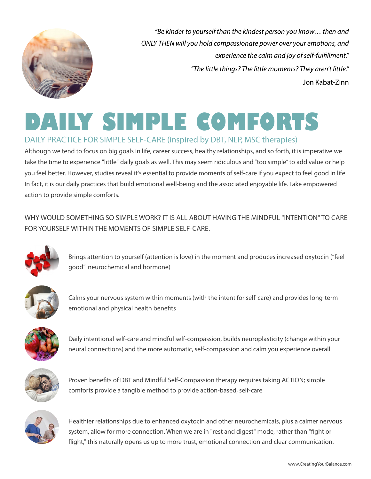

*"Be kinder to yourself than the kindest person you know… then and ONLY THEN will you hold compassionate power over your emotions, and experience the calm and joy of self-fulfillment." "The little things? The little moments? They aren't little."* Jon Kabat-Zinn

## **DAILY SIMPLE COMFORTS** DAILY PRACTICE FOR SIMPLE SELF-CARE (inspired by DBT, NLP, MSC therapies)

Although we tend to focus on big goals in life, career success, healthy relationships, and so forth, it is imperative we take the time to experience "little" daily goals as well. This may seem ridiculous and "too simple" to add value or help you feel better. However, studies reveal it's essential to provide moments of self-care if you expect to feel good in life. In fact, it is our daily practices that build emotional well-being and the associated enjoyable life. Take empowered action to provide simple comforts.

WHY WOULD SOMETHING SO SIMPLE WORK? IT IS ALL ABOUT HAVING THE MINDFUL "INTENTION" TO CARE FOR YOURSELF WITHIN THE MOMENTS OF SIMPLE SELF-CARE.



Brings attention to yourself (attention is love) in the moment and produces increased oxytocin ("feel good" neurochemical and hormone)



Calms your nervous system within moments (with the intent for self-care) and provides long-term emotional and physical health benefits



Daily intentional self-care and mindful self-compassion, builds neuroplasticity (change within your neural connections) and the more automatic, self-compassion and calm you experience overall



Proven benefits of DBT and Mindful Self-Compassion therapy requires taking ACTION; simple comforts provide a tangible method to provide action-based, self-care



Healthier relationships due to enhanced oxytocin and other neurochemicals, plus a calmer nervous system, allow for more connection. When we are in "rest and digest" mode, rather than "fight or flight," this naturally opens us up to more trust, emotional connection and clear communication.